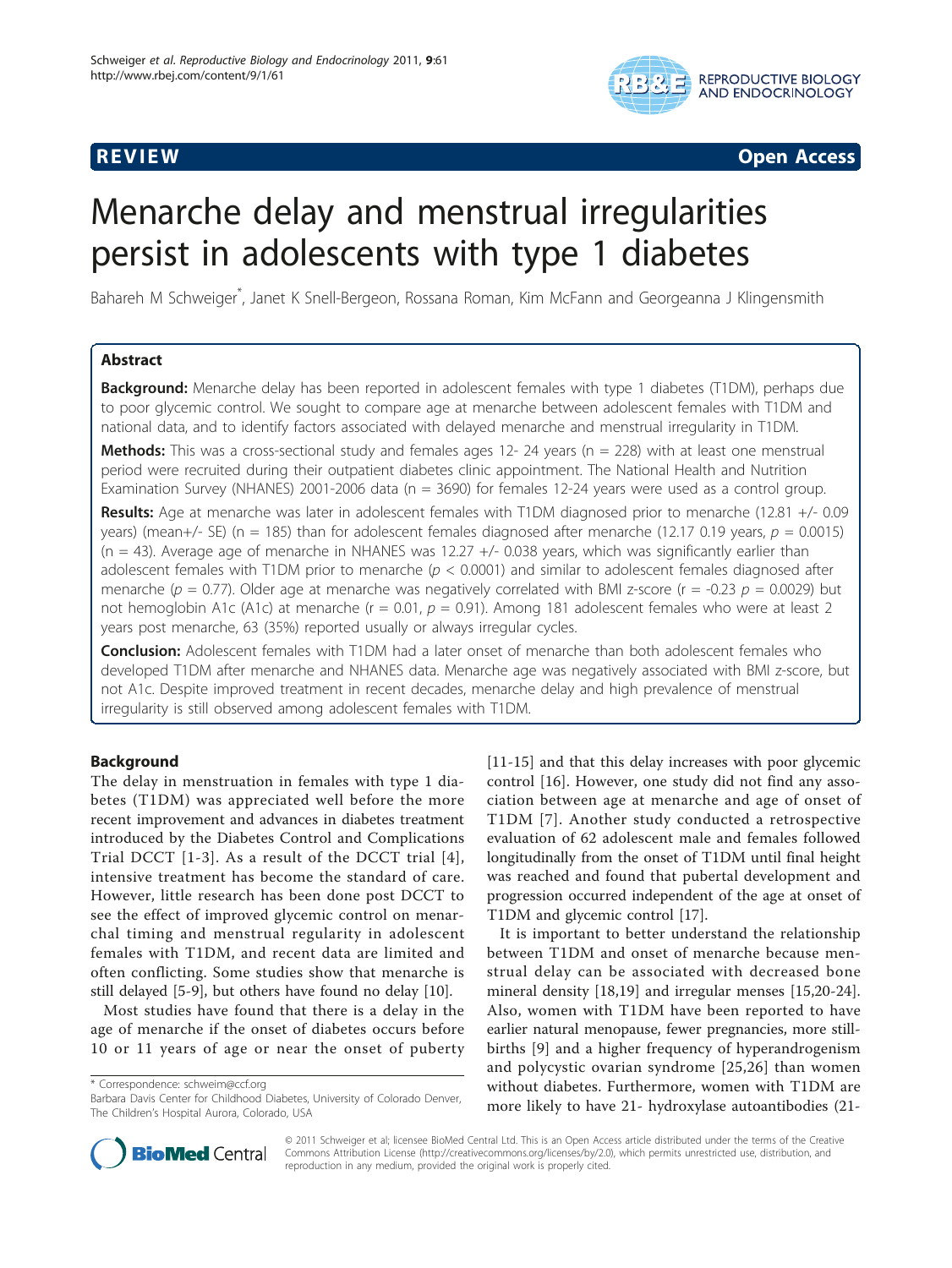

**REVIEW CONSTRUCTION CONSTRUCTION CONSTRUCTS** 

# Menarche delay and menstrual irregularities persist in adolescents with type 1 diabetes

Bahareh M Schweiger\* , Janet K Snell-Bergeon, Rossana Roman, Kim McFann and Georgeanna J Klingensmith

# Abstract

Background: Menarche delay has been reported in adolescent females with type 1 diabetes (T1DM), perhaps due to poor glycemic control. We sought to compare age at menarche between adolescent females with T1DM and national data, and to identify factors associated with delayed menarche and menstrual irregularity in T1DM.

Methods: This was a cross-sectional study and females ages 12- 24 years (n = 228) with at least one menstrual period were recruited during their outpatient diabetes clinic appointment. The National Health and Nutrition Examination Survey (NHANES) 2001-2006 data (n = 3690) for females 12-24 years were used as a control group.

Results: Age at menarche was later in adolescent females with T1DM diagnosed prior to menarche (12.81 +/- 0.09 years) (mean+/- SE) (n = 185) than for adolescent females diagnosed after menarche (12.17 0.19 years,  $p = 0.0015$ )  $(n = 43)$ . Average age of menarche in NHANES was 12.27  $+/$  0.038 years, which was significantly earlier than adolescent females with T1DM prior to menarche ( $p < 0.0001$ ) and similar to adolescent females diagnosed after menarche ( $p = 0.77$ ). Older age at menarche was negatively correlated with BMI z-score (r = -0.23  $p = 0.0029$ ) but not hemoglobin A1c (A1c) at menarche ( $r = 0.01$ ,  $p = 0.91$ ). Among 181 adolescent females who were at least 2 years post menarche, 63 (35%) reported usually or always irregular cycles.

**Conclusion:** Adolescent females with T1DM had a later onset of menarche than both adolescent females who developed T1DM after menarche and NHANES data. Menarche age was negatively associated with BMI z-score, but not A1c. Despite improved treatment in recent decades, menarche delay and high prevalence of menstrual irregularity is still observed among adolescent females with T1DM.

# Background

The delay in menstruation in females with type 1 diabetes (T1DM) was appreciated well before the more recent improvement and advances in diabetes treatment introduced by the Diabetes Control and Complications Trial DCCT [[1](#page-6-0)-[3](#page-6-0)]. As a result of the DCCT trial [[4\]](#page-6-0), intensive treatment has become the standard of care. However, little research has been done post DCCT to see the effect of improved glycemic control on menarchal timing and menstrual regularity in adolescent females with T1DM, and recent data are limited and often conflicting. Some studies show that menarche is still delayed [\[5](#page-6-0)-[9\]](#page-6-0), but others have found no delay [\[10](#page-6-0)].

Most studies have found that there is a delay in the age of menarche if the onset of diabetes occurs before 10 or 11 years of age or near the onset of puberty

\* Correspondence: [schweim@ccf.org](mailto:schweim@ccf.org)

[[11-15](#page-6-0)] and that this delay increases with poor glycemic control [\[16](#page-6-0)]. However, one study did not find any association between age at menarche and age of onset of T1DM [[7](#page-6-0)]. Another study conducted a retrospective evaluation of 62 adolescent male and females followed longitudinally from the onset of T1DM until final height was reached and found that pubertal development and progression occurred independent of the age at onset of T1DM and glycemic control [\[17\]](#page-6-0).

It is important to better understand the relationship between T1DM and onset of menarche because menstrual delay can be associated with decreased bone mineral density [\[18,19](#page-6-0)] and irregular menses [[15,20-24](#page-6-0)]. Also, women with T1DM have been reported to have earlier natural menopause, fewer pregnancies, more stillbirths [[9\]](#page-6-0) and a higher frequency of hyperandrogenism and polycystic ovarian syndrome [[25,26\]](#page-6-0) than women without diabetes. Furthermore, women with T1DM are more likely to have 21- hydroxylase autoantibodies (21-



© 2011 Schweiger et al; licensee BioMed Central Ltd. This is an Open Access article distributed under the terms of the Creative Commons Attribution License [\(http://creativecommons.org/licenses/by/2.0](http://creativecommons.org/licenses/by/2.0)), which permits unrestricted use, distribution, and reproduction in any medium, provided the original work is properly cited.

Barbara Davis Center for Childhood Diabetes, University of Colorado Denver, The Children's Hospital Aurora, Colorado, USA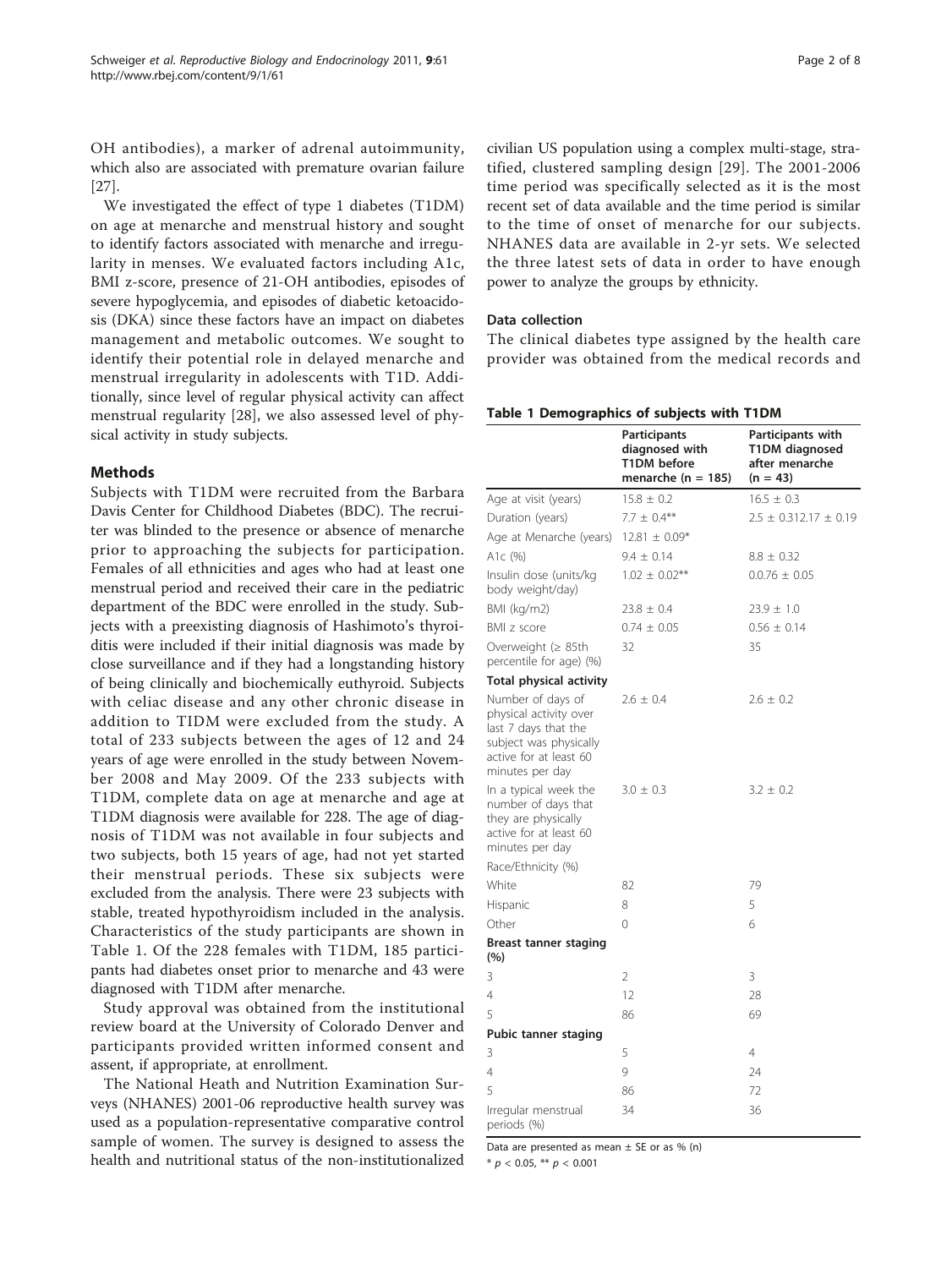<span id="page-1-0"></span>OH antibodies), a marker of adrenal autoimmunity, which also are associated with premature ovarian failure [[27\]](#page-6-0).

We investigated the effect of type 1 diabetes (T1DM) on age at menarche and menstrual history and sought to identify factors associated with menarche and irregularity in menses. We evaluated factors including A1c, BMI z-score, presence of 21-OH antibodies, episodes of severe hypoglycemia, and episodes of diabetic ketoacidosis (DKA) since these factors have an impact on diabetes management and metabolic outcomes. We sought to identify their potential role in delayed menarche and menstrual irregularity in adolescents with T1D. Additionally, since level of regular physical activity can affect menstrual regularity [[28\]](#page-6-0), we also assessed level of physical activity in study subjects.

# Methods

Subjects with T1DM were recruited from the Barbara Davis Center for Childhood Diabetes (BDC). The recruiter was blinded to the presence or absence of menarche prior to approaching the subjects for participation. Females of all ethnicities and ages who had at least one menstrual period and received their care in the pediatric department of the BDC were enrolled in the study. Subjects with a preexisting diagnosis of Hashimoto's thyroiditis were included if their initial diagnosis was made by close surveillance and if they had a longstanding history of being clinically and biochemically euthyroid. Subjects with celiac disease and any other chronic disease in addition to TIDM were excluded from the study. A total of 233 subjects between the ages of 12 and 24 years of age were enrolled in the study between November 2008 and May 2009. Of the 233 subjects with T1DM, complete data on age at menarche and age at T1DM diagnosis were available for 228. The age of diagnosis of T1DM was not available in four subjects and two subjects, both 15 years of age, had not yet started their menstrual periods. These six subjects were excluded from the analysis. There were 23 subjects with stable, treated hypothyroidism included in the analysis. Characteristics of the study participants are shown in Table 1. Of the 228 females with T1DM, 185 participants had diabetes onset prior to menarche and 43 were diagnosed with T1DM after menarche.

Study approval was obtained from the institutional review board at the University of Colorado Denver and participants provided written informed consent and assent, if appropriate, at enrollment.

The National Heath and Nutrition Examination Surveys (NHANES) 2001-06 reproductive health survey was used as a population-representative comparative control sample of women. The survey is designed to assess the health and nutritional status of the non-institutionalized

civilian US population using a complex multi-stage, stratified, clustered sampling design [[29\]](#page-6-0). The 2001-2006 time period was specifically selected as it is the most recent set of data available and the time period is similar to the time of onset of menarche for our subjects. NHANES data are available in 2-yr sets. We selected the three latest sets of data in order to have enough power to analyze the groups by ethnicity.

# Data collection

The clinical diabetes type assigned by the health care provider was obtained from the medical records and

#### Table 1 Demographics of subjects with T1DM

|                                                                                                                                            | Participants<br>diagnosed with<br>T1DM before<br>menarche (n = 185) | Participants with<br>T1DM diagnosed<br>after menarche<br>$(n = 43)$ |
|--------------------------------------------------------------------------------------------------------------------------------------------|---------------------------------------------------------------------|---------------------------------------------------------------------|
| Age at visit (years)                                                                                                                       | $15.8 \pm 0.2$                                                      | $16.5 \pm 0.3$                                                      |
| Duration (years)                                                                                                                           | $7.7 \pm 0.4***$                                                    | $2.5 \pm 0.312.17 \pm 0.19$                                         |
| Age at Menarche (years)                                                                                                                    | $12.81 \pm 0.09*$                                                   |                                                                     |
| A <sub>1</sub> c (%)                                                                                                                       | $9.4 \pm 0.14$                                                      | $8.8 \pm 0.32$                                                      |
| Insulin dose (units/kg<br>body weight/day)                                                                                                 | $1.02 \pm 0.02$ **                                                  | $0.0.76 \pm 0.05$                                                   |
| BMI (kg/m2)                                                                                                                                | $23.8 \pm 0.4$                                                      | $23.9 \pm 1.0$                                                      |
| BMI z score                                                                                                                                | $0.74 \pm 0.05$                                                     | $0.56 \pm 0.14$                                                     |
| Overweight ( $\geq$ 85th<br>percentile for age) (%)                                                                                        | 32                                                                  | 35                                                                  |
| <b>Total physical activity</b>                                                                                                             |                                                                     |                                                                     |
| Number of days of<br>physical activity over<br>last 7 days that the<br>subject was physically<br>active for at least 60<br>minutes per day | $2.6 \pm 0.4$                                                       | $2.6 \pm 0.2$                                                       |
| In a typical week the<br>number of days that<br>they are physically<br>active for at least 60<br>minutes per day                           | $3.0 \pm 0.3$                                                       | $3.2 \pm 0.2$                                                       |
| Race/Ethnicity (%)                                                                                                                         |                                                                     |                                                                     |
| White                                                                                                                                      | 82                                                                  | 79                                                                  |
| Hispanic                                                                                                                                   | 8                                                                   | 5                                                                   |
| Other                                                                                                                                      | $\Omega$                                                            | 6                                                                   |
| Breast tanner staging<br>(%)                                                                                                               |                                                                     |                                                                     |
| 3                                                                                                                                          | $\overline{2}$                                                      | 3                                                                   |
| 4                                                                                                                                          | 12                                                                  | 28                                                                  |
| 5                                                                                                                                          | 86                                                                  | 69                                                                  |
| Pubic tanner staging                                                                                                                       |                                                                     |                                                                     |
| 3                                                                                                                                          | 5                                                                   | 4                                                                   |
| 4                                                                                                                                          | 9                                                                   | 24                                                                  |
| 5                                                                                                                                          | 86                                                                  | 72                                                                  |
| Irregular menstrual<br>periods (%)                                                                                                         | 34                                                                  | 36                                                                  |

Data are presented as mean  $\pm$  SE or as % (n) \*  $p < 0.05$ , \*\*  $p < 0.001$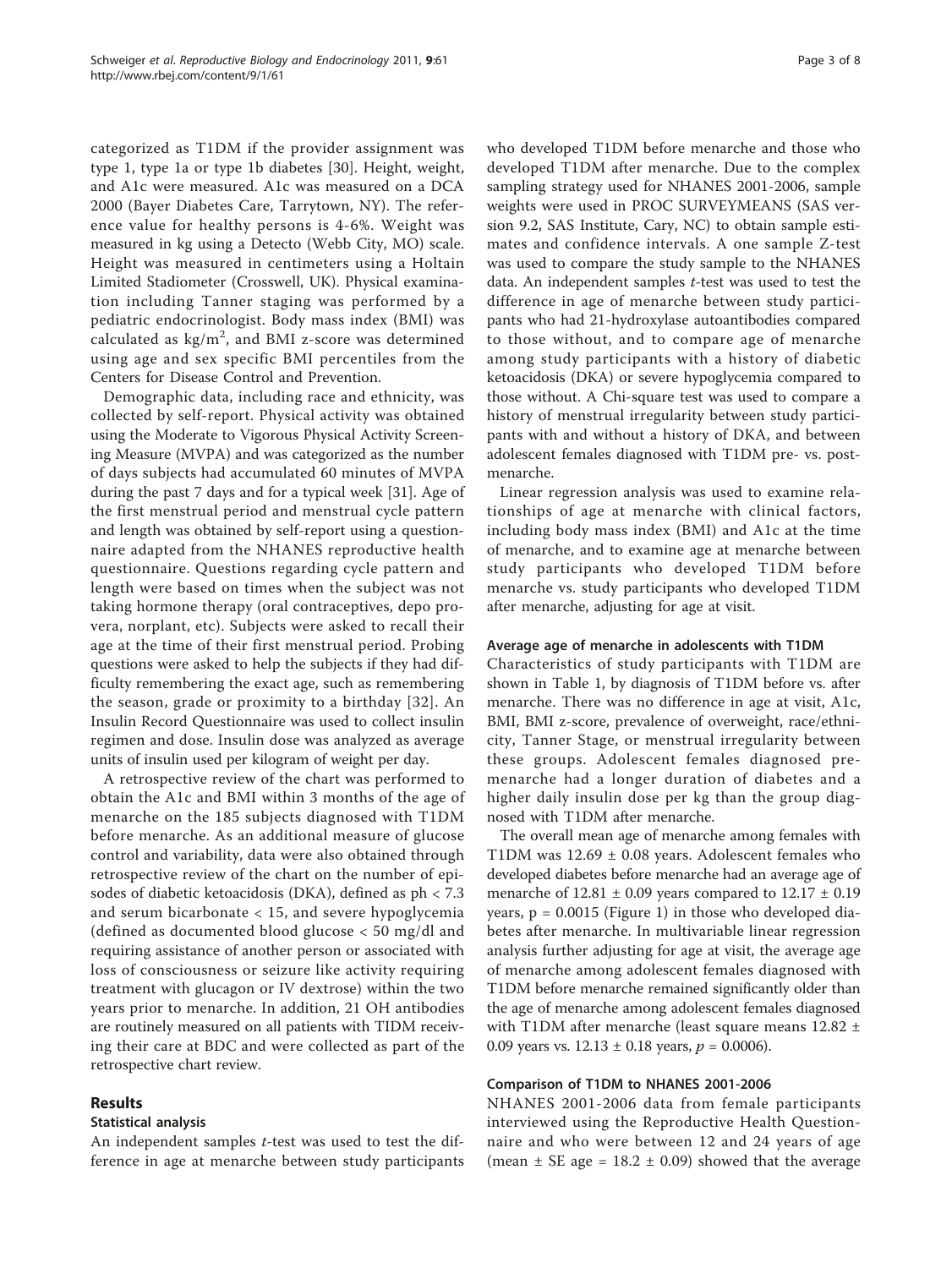categorized as T1DM if the provider assignment was type 1, type 1a or type 1b diabetes [[30](#page-6-0)]. Height, weight, and A1c were measured. A1c was measured on a DCA 2000 (Bayer Diabetes Care, Tarrytown, NY). The reference value for healthy persons is 4-6%. Weight was measured in kg using a Detecto (Webb City, MO) scale. Height was measured in centimeters using a Holtain Limited Stadiometer (Crosswell, UK). Physical examination including Tanner staging was performed by a pediatric endocrinologist. Body mass index (BMI) was calculated as  $\text{kg/m}^2$ , and BMI z-score was determined using age and sex specific BMI percentiles from the Centers for Disease Control and Prevention.

Demographic data, including race and ethnicity, was collected by self-report. Physical activity was obtained using the Moderate to Vigorous Physical Activity Screening Measure (MVPA) and was categorized as the number of days subjects had accumulated 60 minutes of MVPA during the past 7 days and for a typical week [[31\]](#page-6-0). Age of the first menstrual period and menstrual cycle pattern and length was obtained by self-report using a questionnaire adapted from the NHANES reproductive health questionnaire. Questions regarding cycle pattern and length were based on times when the subject was not taking hormone therapy (oral contraceptives, depo provera, norplant, etc). Subjects were asked to recall their age at the time of their first menstrual period. Probing questions were asked to help the subjects if they had difficulty remembering the exact age, such as remembering the season, grade or proximity to a birthday [[32\]](#page-6-0). An Insulin Record Questionnaire was used to collect insulin regimen and dose. Insulin dose was analyzed as average units of insulin used per kilogram of weight per day.

A retrospective review of the chart was performed to obtain the A1c and BMI within 3 months of the age of menarche on the 185 subjects diagnosed with T1DM before menarche. As an additional measure of glucose control and variability, data were also obtained through retrospective review of the chart on the number of episodes of diabetic ketoacidosis (DKA), defined as ph < 7.3 and serum bicarbonate < 15, and severe hypoglycemia (defined as documented blood glucose < 50 mg/dl and requiring assistance of another person or associated with loss of consciousness or seizure like activity requiring treatment with glucagon or IV dextrose) within the two years prior to menarche. In addition, 21 OH antibodies are routinely measured on all patients with TIDM receiving their care at BDC and were collected as part of the retrospective chart review.

#### Results

#### Statistical analysis

An independent samples  $t$ -test was used to test the difference in age at menarche between study participants who developed T1DM before menarche and those who developed T1DM after menarche. Due to the complex sampling strategy used for NHANES 2001-2006, sample weights were used in PROC SURVEYMEANS (SAS version 9.2, SAS Institute, Cary, NC) to obtain sample estimates and confidence intervals. A one sample Z-test was used to compare the study sample to the NHANES data. An independent samples t-test was used to test the difference in age of menarche between study participants who had 21-hydroxylase autoantibodies compared to those without, and to compare age of menarche among study participants with a history of diabetic ketoacidosis (DKA) or severe hypoglycemia compared to those without. A Chi-square test was used to compare a history of menstrual irregularity between study participants with and without a history of DKA, and between adolescent females diagnosed with T1DM pre- vs. postmenarche.

Linear regression analysis was used to examine relationships of age at menarche with clinical factors, including body mass index (BMI) and A1c at the time of menarche, and to examine age at menarche between study participants who developed T1DM before menarche vs. study participants who developed T1DM after menarche, adjusting for age at visit.

#### Average age of menarche in adolescents with T1DM

Characteristics of study participants with T1DM are shown in Table [1,](#page-1-0) by diagnosis of T1DM before vs. after menarche. There was no difference in age at visit, A1c, BMI, BMI z-score, prevalence of overweight, race/ethnicity, Tanner Stage, or menstrual irregularity between these groups. Adolescent females diagnosed premenarche had a longer duration of diabetes and a higher daily insulin dose per kg than the group diagnosed with T1DM after menarche.

The overall mean age of menarche among females with T1DM was 12.69 ± 0.08 years. Adolescent females who developed diabetes before menarche had an average age of menarche of  $12.81 \pm 0.09$  years compared to  $12.17 \pm 0.19$ years,  $p = 0.0015$  (Figure [1](#page-3-0)) in those who developed diabetes after menarche. In multivariable linear regression analysis further adjusting for age at visit, the average age of menarche among adolescent females diagnosed with T1DM before menarche remained significantly older than the age of menarche among adolescent females diagnosed with T1DM after menarche (least square means 12.82 ± 0.09 years vs.  $12.13 \pm 0.18$  years,  $p = 0.0006$ .

#### Comparison of T1DM to NHANES 2001-2006

NHANES 2001-2006 data from female participants interviewed using the Reproductive Health Questionnaire and who were between 12 and 24 years of age (mean  $\pm$  SE age = 18.2  $\pm$  0.09) showed that the average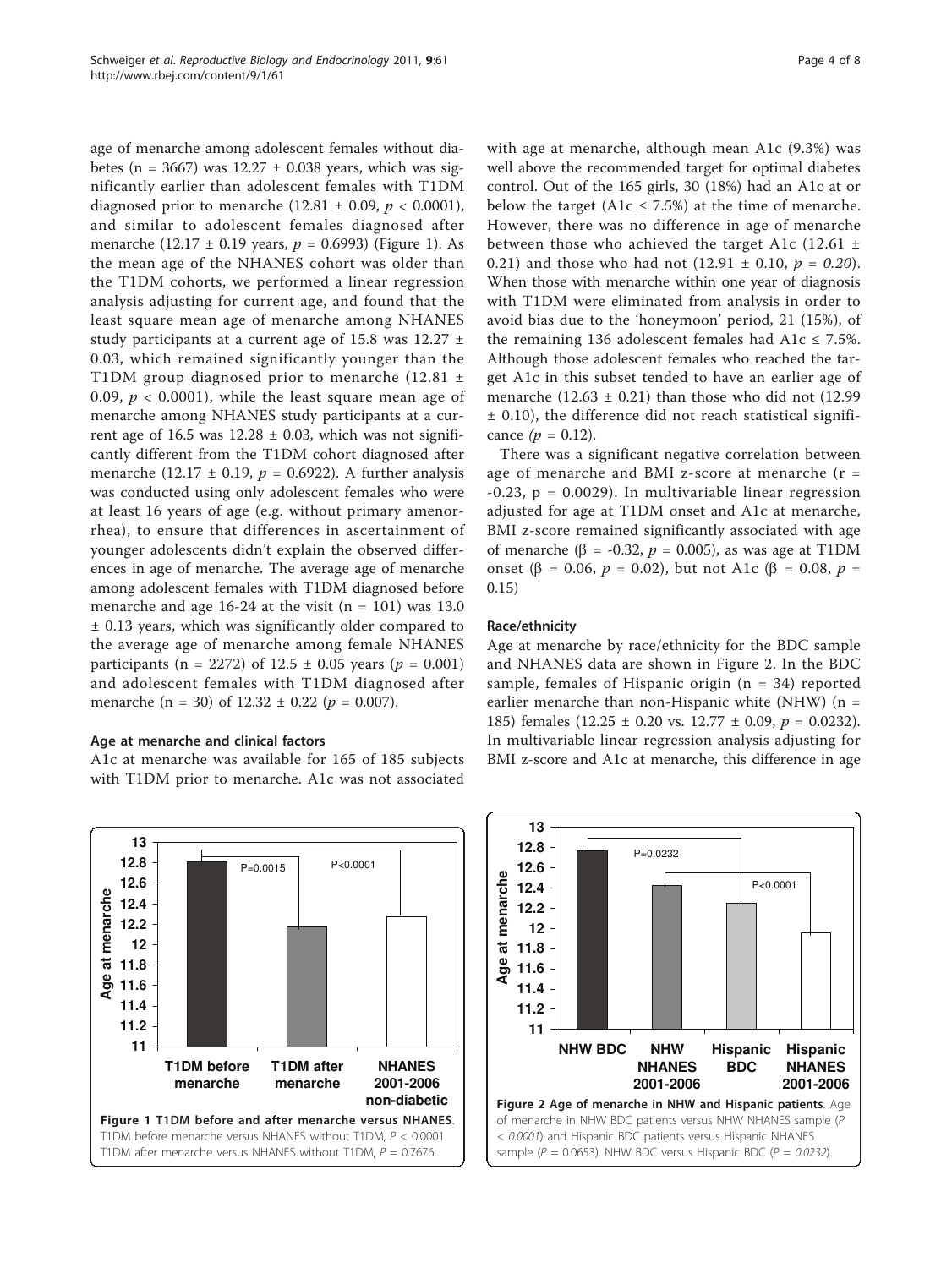<span id="page-3-0"></span>age of menarche among adolescent females without diabetes (n = 3667) was  $12.27 \pm 0.038$  years, which was significantly earlier than adolescent females with T1DM diagnosed prior to menarche  $(12.81 \pm 0.09, p < 0.0001)$ , and similar to adolescent females diagnosed after menarche (12.17 ± 0.19 years,  $p = 0.6993$ ) (Figure 1). As the mean age of the NHANES cohort was older than the T1DM cohorts, we performed a linear regression analysis adjusting for current age, and found that the least square mean age of menarche among NHANES study participants at a current age of 15.8 was 12.27 ± 0.03, which remained significantly younger than the T1DM group diagnosed prior to menarche (12.81 ± 0.09,  $p < 0.0001$ , while the least square mean age of menarche among NHANES study participants at a current age of 16.5 was  $12.28 \pm 0.03$ , which was not significantly different from the T1DM cohort diagnosed after menarche (12.17  $\pm$  0.19,  $p = 0.6922$ ). A further analysis was conducted using only adolescent females who were at least 16 years of age (e.g. without primary amenorrhea), to ensure that differences in ascertainment of younger adolescents didn't explain the observed differences in age of menarche. The average age of menarche among adolescent females with T1DM diagnosed before menarche and age 16-24 at the visit  $(n = 101)$  was 13.0 ± 0.13 years, which was significantly older compared to the average age of menarche among female NHANES participants (n = 2272) of 12.5  $\pm$  0.05 years (p = 0.001) and adolescent females with T1DM diagnosed after menarche (n = 30) of  $12.32 \pm 0.22$  ( $p = 0.007$ ).

#### Age at menarche and clinical factors

A1c at menarche was available for 165 of 185 subjects with T1DM prior to menarche. A1c was not associated with age at menarche, although mean A1c (9.3%) was well above the recommended target for optimal diabetes control. Out of the 165 girls, 30 (18%) had an A1c at or below the target (A1c  $\leq$  7.5%) at the time of menarche. However, there was no difference in age of menarche between those who achieved the target A1c (12.61  $\pm$ 0.21) and those who had not  $(12.91 \pm 0.10, p = 0.20)$ . When those with menarche within one year of diagnosis with T1DM were eliminated from analysis in order to avoid bias due to the 'honeymoon' period, 21 (15%), of the remaining 136 adolescent females had A1 $c \le 7.5\%$ . Although those adolescent females who reached the target A1c in this subset tended to have an earlier age of menarche  $(12.63 \pm 0.21)$  than those who did not  $(12.99)$ ± 0.10), the difference did not reach statistical significance  $(p = 0.12)$ .

There was a significant negative correlation between age of menarche and BMI z-score at menarche  $(r =$  $-0.23$ ,  $p = 0.0029$ . In multivariable linear regression adjusted for age at T1DM onset and A1c at menarche, BMI z-score remained significantly associated with age of menarche ( $\beta$  = -0.32,  $p$  = 0.005), as was age at T1DM onset ( $\beta = 0.06$ ,  $p = 0.02$ ), but not A1c ( $\beta = 0.08$ ,  $p =$ 0.15)

#### Race/ethnicity

Age at menarche by race/ethnicity for the BDC sample and NHANES data are shown in Figure 2. In the BDC sample, females of Hispanic origin  $(n = 34)$  reported earlier menarche than non-Hispanic white (NHW)  $(n =$ 185) females  $(12.25 \pm 0.20 \text{ vs. } 12.77 \pm 0.09, p = 0.0232)$ . In multivariable linear regression analysis adjusting for BMI z-score and A1c at menarche, this difference in age



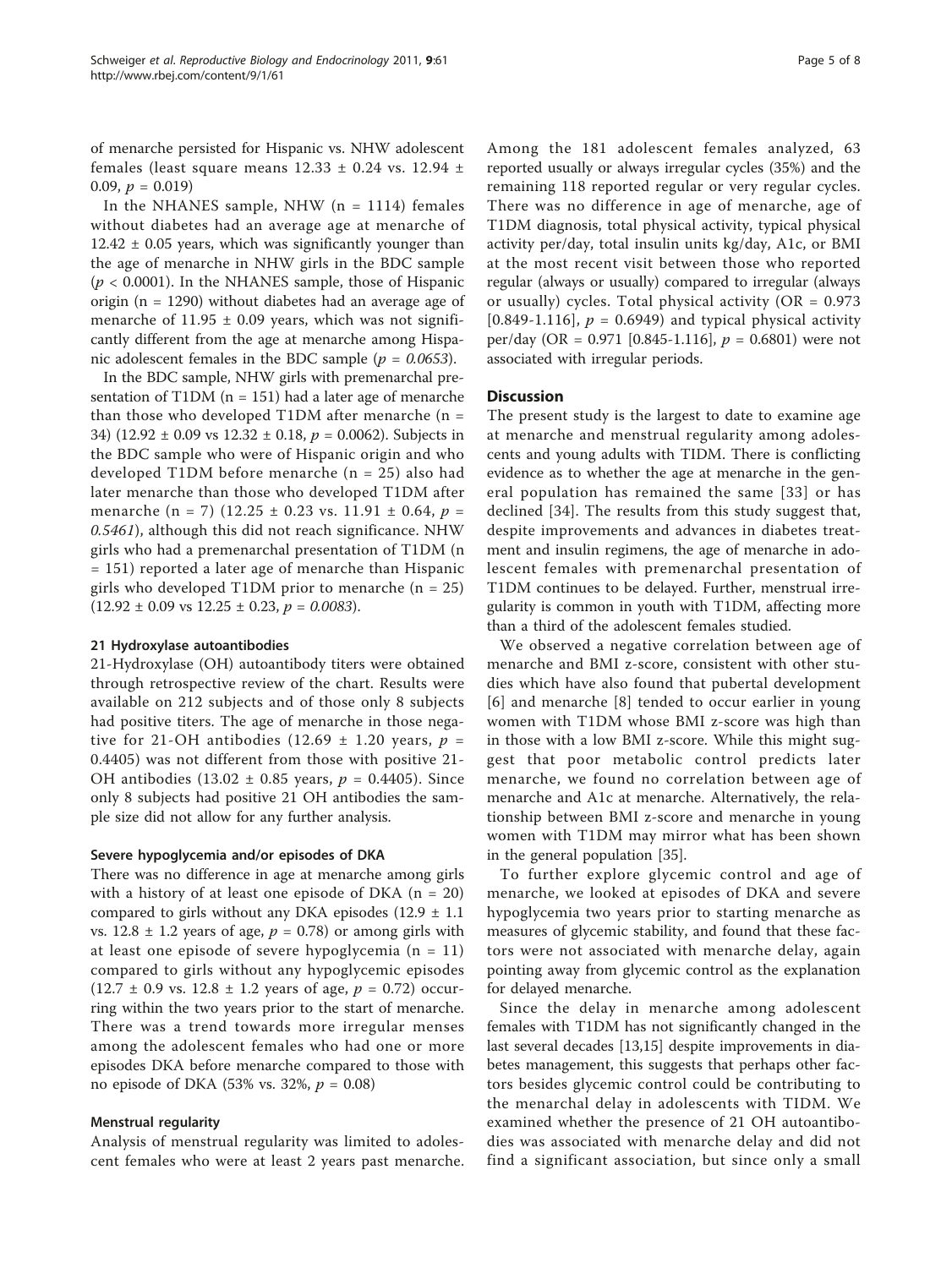of menarche persisted for Hispanic vs. NHW adolescent females (least square means  $12.33 \pm 0.24$  vs.  $12.94 \pm$ 0.09,  $p = 0.019$ 

In the NHANES sample, NHW  $(n = 1114)$  females without diabetes had an average age at menarche of  $12.42 \pm 0.05$  years, which was significantly younger than the age of menarche in NHW girls in the BDC sample  $(p < 0.0001)$ . In the NHANES sample, those of Hispanic origin (n = 1290) without diabetes had an average age of menarche of 11.95  $\pm$  0.09 years, which was not significantly different from the age at menarche among Hispanic adolescent females in the BDC sample ( $p = 0.0653$ ).

In the BDC sample, NHW girls with premenarchal presentation of T1DM ( $n = 151$ ) had a later age of menarche than those who developed T1DM after menarche  $(n =$ 34) (12.92  $\pm$  0.09 vs 12.32  $\pm$  0.18,  $p = 0.0062$ ). Subjects in the BDC sample who were of Hispanic origin and who developed T1DM before menarche (n = 25) also had later menarche than those who developed T1DM after menarche (n = 7) (12.25 ± 0.23 vs. 11.91 ± 0.64,  $p =$ 0.5461), although this did not reach significance. NHW girls who had a premenarchal presentation of T1DM (n = 151) reported a later age of menarche than Hispanic girls who developed T1DM prior to menarche  $(n = 25)$  $(12.92 \pm 0.09 \text{ vs } 12.25 \pm 0.23, p = 0.0083).$ 

#### 21 Hydroxylase autoantibodies

21-Hydroxylase (OH) autoantibody titers were obtained through retrospective review of the chart. Results were available on 212 subjects and of those only 8 subjects had positive titers. The age of menarche in those negative for 21-OH antibodies (12.69  $\pm$  1.20 years,  $p =$ 0.4405) was not different from those with positive 21- OH antibodies (13.02  $\pm$  0.85 years,  $p = 0.4405$ ). Since only 8 subjects had positive 21 OH antibodies the sample size did not allow for any further analysis.

#### Severe hypoglycemia and/or episodes of DKA

There was no difference in age at menarche among girls with a history of at least one episode of DKA  $(n = 20)$ compared to girls without any DKA episodes  $(12.9 \pm 1.1)$ vs.  $12.8 \pm 1.2$  years of age,  $p = 0.78$ ) or among girls with at least one episode of severe hypoglycemia  $(n = 11)$ compared to girls without any hypoglycemic episodes  $(12.7 \pm 0.9 \text{ vs. } 12.8 \pm 1.2 \text{ years of age}, p = 0.72)$  occurring within the two years prior to the start of menarche. There was a trend towards more irregular menses among the adolescent females who had one or more episodes DKA before menarche compared to those with no episode of DKA (53% vs. 32%,  $p = 0.08$ )

#### Menstrual regularity

Analysis of menstrual regularity was limited to adolescent females who were at least 2 years past menarche.

Among the 181 adolescent females analyzed, 63 reported usually or always irregular cycles (35%) and the remaining 118 reported regular or very regular cycles. There was no difference in age of menarche, age of T1DM diagnosis, total physical activity, typical physical activity per/day, total insulin units kg/day, A1c, or BMI at the most recent visit between those who reported regular (always or usually) compared to irregular (always or usually) cycles. Total physical activity ( $OR = 0.973$ [0.849-1.116],  $p = 0.6949$ ) and typical physical activity per/day (OR = 0.971 [0.845-1.116],  $p = 0.6801$ ) were not associated with irregular periods.

#### **Discussion**

The present study is the largest to date to examine age at menarche and menstrual regularity among adolescents and young adults with TIDM. There is conflicting evidence as to whether the age at menarche in the general population has remained the same [[33\]](#page-6-0) or has declined [[34\]](#page-6-0). The results from this study suggest that, despite improvements and advances in diabetes treatment and insulin regimens, the age of menarche in adolescent females with premenarchal presentation of T1DM continues to be delayed. Further, menstrual irregularity is common in youth with T1DM, affecting more than a third of the adolescent females studied.

We observed a negative correlation between age of menarche and BMI z-score, consistent with other studies which have also found that pubertal development [[6](#page-6-0)] and menarche [\[8](#page-6-0)] tended to occur earlier in young women with T1DM whose BMI z-score was high than in those with a low BMI z-score. While this might suggest that poor metabolic control predicts later menarche, we found no correlation between age of menarche and A1c at menarche. Alternatively, the relationship between BMI z-score and menarche in young women with T1DM may mirror what has been shown in the general population [[35\]](#page-6-0).

To further explore glycemic control and age of menarche, we looked at episodes of DKA and severe hypoglycemia two years prior to starting menarche as measures of glycemic stability, and found that these factors were not associated with menarche delay, again pointing away from glycemic control as the explanation for delayed menarche.

Since the delay in menarche among adolescent females with T1DM has not significantly changed in the last several decades [[13,15](#page-6-0)] despite improvements in diabetes management, this suggests that perhaps other factors besides glycemic control could be contributing to the menarchal delay in adolescents with TIDM. We examined whether the presence of 21 OH autoantibodies was associated with menarche delay and did not find a significant association, but since only a small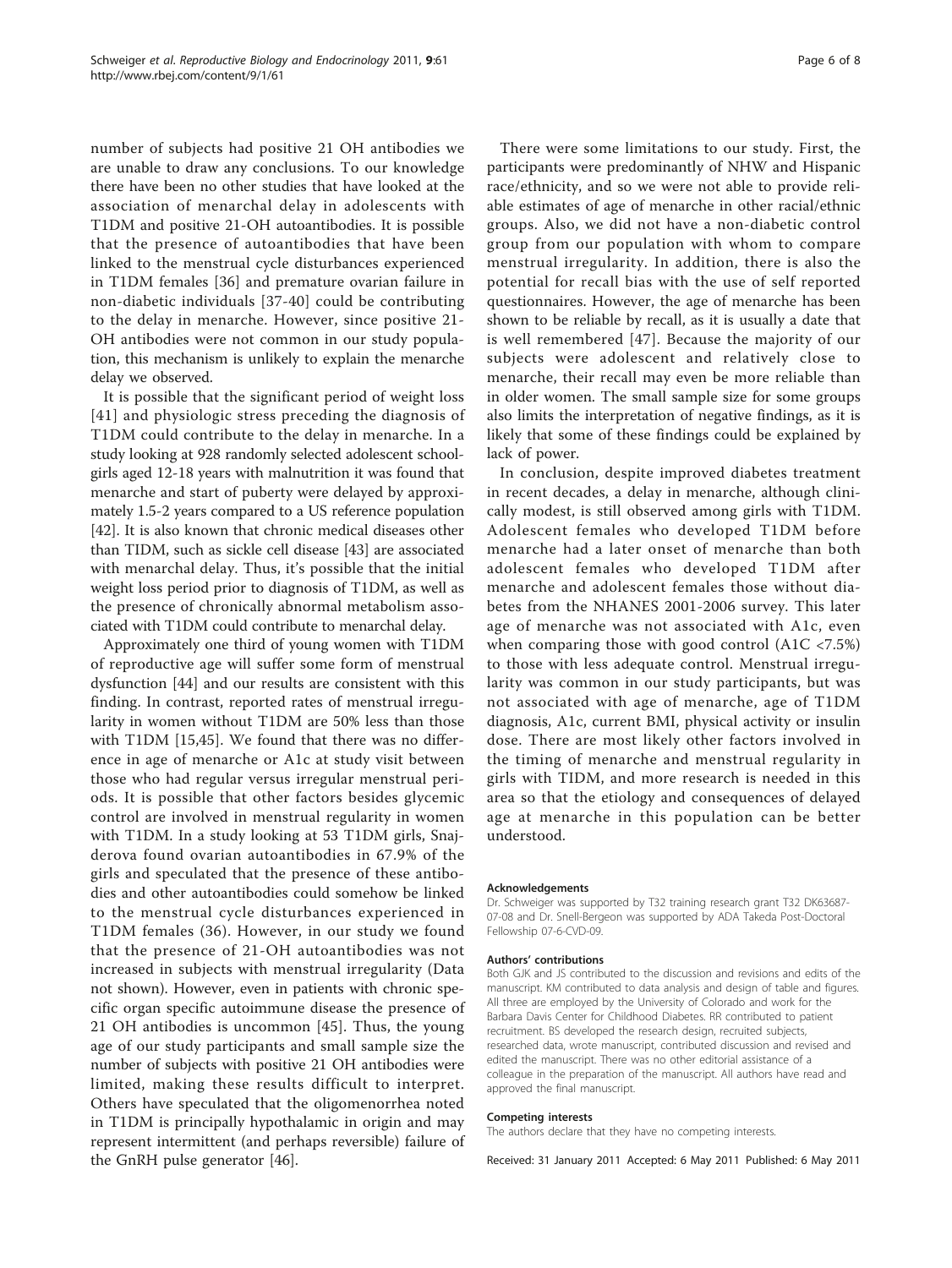number of subjects had positive 21 OH antibodies we are unable to draw any conclusions. To our knowledge there have been no other studies that have looked at the association of menarchal delay in adolescents with T1DM and positive 21-OH autoantibodies. It is possible that the presence of autoantibodies that have been linked to the menstrual cycle disturbances experienced in T1DM females [\[36](#page-6-0)] and premature ovarian failure in non-diabetic individuals [[37-40\]](#page-6-0) could be contributing to the delay in menarche. However, since positive 21- OH antibodies were not common in our study population, this mechanism is unlikely to explain the menarche delay we observed.

It is possible that the significant period of weight loss [[41\]](#page-6-0) and physiologic stress preceding the diagnosis of T1DM could contribute to the delay in menarche. In a study looking at 928 randomly selected adolescent schoolgirls aged 12-18 years with malnutrition it was found that menarche and start of puberty were delayed by approximately 1.5-2 years compared to a US reference population [[42\]](#page-6-0). It is also known that chronic medical diseases other than TIDM, such as sickle cell disease [\[43](#page-7-0)] are associated with menarchal delay. Thus, it's possible that the initial weight loss period prior to diagnosis of T1DM, as well as the presence of chronically abnormal metabolism associated with T1DM could contribute to menarchal delay.

Approximately one third of young women with T1DM of reproductive age will suffer some form of menstrual dysfunction [\[44\]](#page-7-0) and our results are consistent with this finding. In contrast, reported rates of menstrual irregularity in women without T1DM are 50% less than those with T1DM [[15](#page-6-0),[45\]](#page-7-0). We found that there was no difference in age of menarche or A1c at study visit between those who had regular versus irregular menstrual periods. It is possible that other factors besides glycemic control are involved in menstrual regularity in women with T1DM. In a study looking at 53 T1DM girls, Snajderova found ovarian autoantibodies in 67.9% of the girls and speculated that the presence of these antibodies and other autoantibodies could somehow be linked to the menstrual cycle disturbances experienced in T1DM females (36). However, in our study we found that the presence of 21-OH autoantibodies was not increased in subjects with menstrual irregularity (Data not shown). However, even in patients with chronic specific organ specific autoimmune disease the presence of 21 OH antibodies is uncommon [\[45\]](#page-7-0). Thus, the young age of our study participants and small sample size the number of subjects with positive 21 OH antibodies were limited, making these results difficult to interpret. Others have speculated that the oligomenorrhea noted in T1DM is principally hypothalamic in origin and may represent intermittent (and perhaps reversible) failure of the GnRH pulse generator [[46](#page-7-0)].

There were some limitations to our study. First, the participants were predominantly of NHW and Hispanic race/ethnicity, and so we were not able to provide reliable estimates of age of menarche in other racial/ethnic groups. Also, we did not have a non-diabetic control group from our population with whom to compare menstrual irregularity. In addition, there is also the potential for recall bias with the use of self reported questionnaires. However, the age of menarche has been shown to be reliable by recall, as it is usually a date that is well remembered [\[47\]](#page-7-0). Because the majority of our subjects were adolescent and relatively close to menarche, their recall may even be more reliable than in older women. The small sample size for some groups also limits the interpretation of negative findings, as it is likely that some of these findings could be explained by lack of power.

In conclusion, despite improved diabetes treatment in recent decades, a delay in menarche, although clinically modest, is still observed among girls with T1DM. Adolescent females who developed T1DM before menarche had a later onset of menarche than both adolescent females who developed T1DM after menarche and adolescent females those without diabetes from the NHANES 2001-2006 survey. This later age of menarche was not associated with A1c, even when comparing those with good control (A1C <7.5%) to those with less adequate control. Menstrual irregularity was common in our study participants, but was not associated with age of menarche, age of T1DM diagnosis, A1c, current BMI, physical activity or insulin dose. There are most likely other factors involved in the timing of menarche and menstrual regularity in girls with TIDM, and more research is needed in this area so that the etiology and consequences of delayed age at menarche in this population can be better understood.

#### Acknowledgements

Dr. Schweiger was supported by T32 training research grant T32 DK63687- 07-08 and Dr. Snell-Bergeon was supported by ADA Takeda Post-Doctoral Fellowship 07-6-CVD-09.

#### Authors' contributions

Both GJK and JS contributed to the discussion and revisions and edits of the manuscript. KM contributed to data analysis and design of table and figures. All three are employed by the University of Colorado and work for the Barbara Davis Center for Childhood Diabetes. RR contributed to patient recruitment. BS developed the research design, recruited subjects, researched data, wrote manuscript, contributed discussion and revised and edited the manuscript. There was no other editorial assistance of a colleague in the preparation of the manuscript. All authors have read and approved the final manuscript.

#### Competing interests

The authors declare that they have no competing interests.

Received: 31 January 2011 Accepted: 6 May 2011 Published: 6 May 2011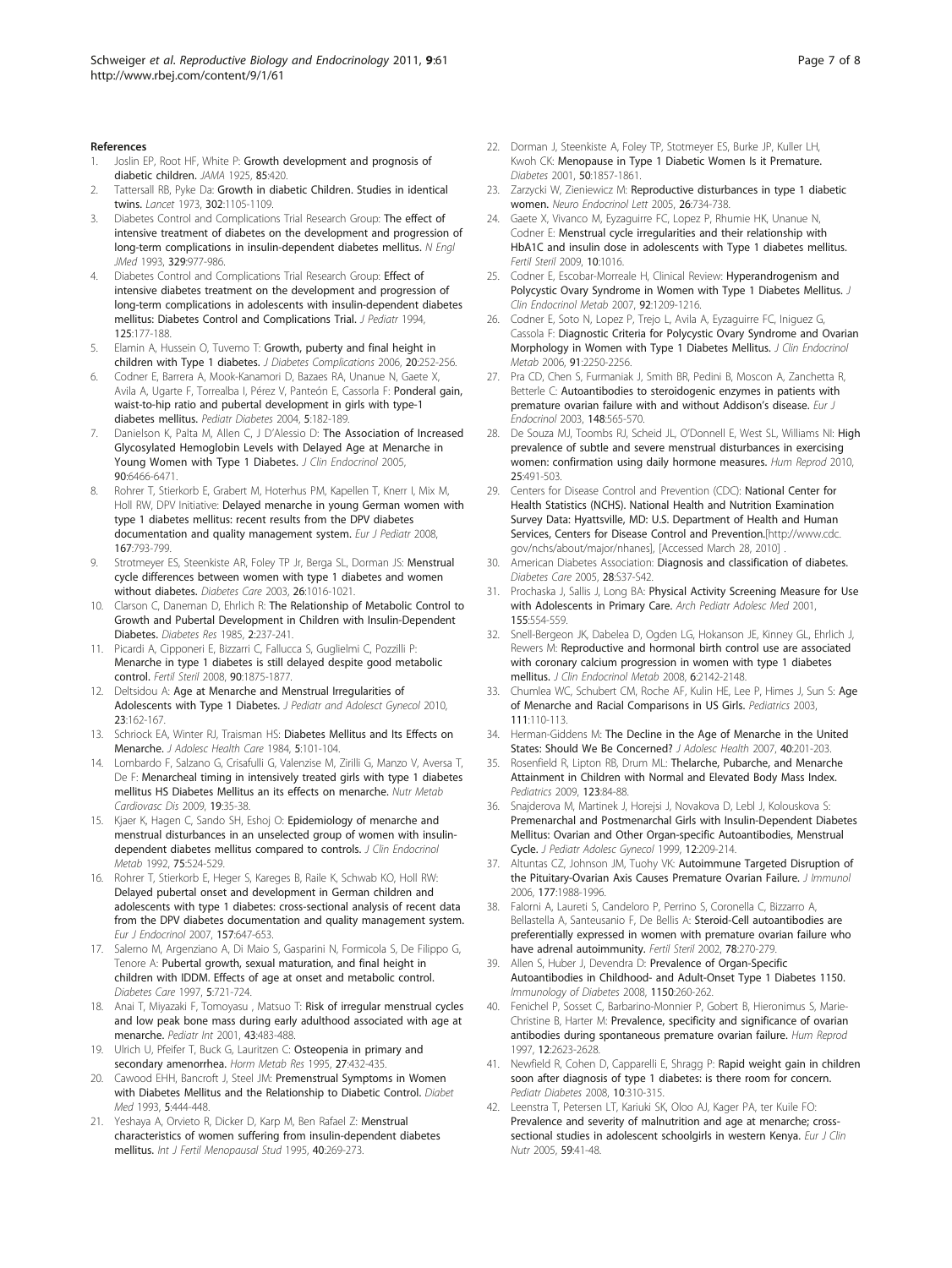#### <span id="page-6-0"></span>References

- 1. Joslin EP, Root HF, White P: Growth development and prognosis of diabetic children. JAMA 1925, 85:420.
- Tattersall RB, Pyke Da: Growth in diabetic Children. Studies in identical twins. Lancet 1973, 302:1105-1109.
- Diabetes Control and Complications Trial Research Group: The effect of intensive treatment of diabetes on the development and progression of long-term complications in insulin-dependent diabetes mellitus. N Engl JMed 1993, 329:977-986.
- 4. Diabetes Control and Complications Trial Research Group: [Effect of](http://www.ncbi.nlm.nih.gov/pubmed/8040759?dopt=Abstract) [intensive diabetes treatment on the development and progression of](http://www.ncbi.nlm.nih.gov/pubmed/8040759?dopt=Abstract) [long-term complications in adolescents with insulin-dependent diabetes](http://www.ncbi.nlm.nih.gov/pubmed/8040759?dopt=Abstract) [mellitus: Diabetes Control and Complications Trial.](http://www.ncbi.nlm.nih.gov/pubmed/8040759?dopt=Abstract) J Pediatr 1994, 125:177-188.
- 5. Elamin A, Hussein O, Tuvemo T: [Growth, puberty and final height in](http://www.ncbi.nlm.nih.gov/pubmed/16798477?dopt=Abstract) [children with Type 1 diabetes.](http://www.ncbi.nlm.nih.gov/pubmed/16798477?dopt=Abstract) J Diabetes Complications 2006, 20:252-256.
- 6. Codner E, Barrera A, Mook-Kanamori D, Bazaes RA, Unanue N, Gaete X, Avila A, Ugarte F, Torrealba I, Pérez V, Panteón E, Cassorla F: [Ponderal gain,](http://www.ncbi.nlm.nih.gov/pubmed/15601360?dopt=Abstract) [waist-to-hip ratio and pubertal development in girls with type-1](http://www.ncbi.nlm.nih.gov/pubmed/15601360?dopt=Abstract) [diabetes mellitus.](http://www.ncbi.nlm.nih.gov/pubmed/15601360?dopt=Abstract) Pediatr Diabetes 2004, 5:182-189.
- Danielson K, Palta M, Allen C, J D'Alessio D: The Association of Increased Glycosylated Hemoglobin Levels with Delayed Age at Menarche in Young Women with Type 1 Diabetes. J Clin Endocrinol 2005, 90:6466-6471.
- 8. Rohrer T, Stierkorb E, Grabert M, Hoterhus PM, Kapellen T, Knerr I, Mix M, Holl RW, DPV Initiative: [Delayed menarche in young German women with](http://www.ncbi.nlm.nih.gov/pubmed/17763869?dopt=Abstract) [type 1 diabetes mellitus: recent results from the DPV diabetes](http://www.ncbi.nlm.nih.gov/pubmed/17763869?dopt=Abstract) [documentation and quality management system.](http://www.ncbi.nlm.nih.gov/pubmed/17763869?dopt=Abstract) Eur J Pediatr 2008, 167:793-799.
- Strotmeyer ES, Steenkiste AR, Foley TP Jr, Berga SL, Dorman JS: [Menstrual](http://www.ncbi.nlm.nih.gov/pubmed/12663566?dopt=Abstract) [cycle differences between women with type 1 diabetes and women](http://www.ncbi.nlm.nih.gov/pubmed/12663566?dopt=Abstract) [without diabetes.](http://www.ncbi.nlm.nih.gov/pubmed/12663566?dopt=Abstract) Diabetes Care 2003, 26:1016-1021.
- 10. Clarson C, Daneman D, Ehrlich R: [The Relationship of Metabolic Control to](http://www.ncbi.nlm.nih.gov/pubmed/4064475?dopt=Abstract) [Growth and Pubertal Development in Children with Insulin-Dependent](http://www.ncbi.nlm.nih.gov/pubmed/4064475?dopt=Abstract) [Diabetes.](http://www.ncbi.nlm.nih.gov/pubmed/4064475?dopt=Abstract) Diabetes Res 1985, 2:237-241.
- 11. Picardi A, Cipponeri E, Bizzarri C, Fallucca S, Guglielmi C, Pozzilli P: [Menarche in type 1 diabetes is still delayed despite good metabolic](http://www.ncbi.nlm.nih.gov/pubmed/18191849?dopt=Abstract) [control.](http://www.ncbi.nlm.nih.gov/pubmed/18191849?dopt=Abstract) Fertil Steril 2008, 90:1875-1877.
- 12. Deltsidou A: Age at Menarche and Menstrual Irregularities of Adolescents with Type 1 Diabetes. J Pediatr and Adolesct Gynecol 2010, 23:162-167.
- 13. Schriock EA, Winter RJ, Traisman HS: [Diabetes Mellitus and Its Effects on](http://www.ncbi.nlm.nih.gov/pubmed/6706787?dopt=Abstract) [Menarche.](http://www.ncbi.nlm.nih.gov/pubmed/6706787?dopt=Abstract) J Adolesc Health Care 1984, 5:101-104.
- 14. Lombardo F, Salzano G, Crisafulli G, Valenzise M, Zirilli G, Manzo V, Aversa T, De F: [Menarcheal timing in intensively treated girls with type 1 diabetes](http://www.ncbi.nlm.nih.gov/pubmed/18554878?dopt=Abstract) mellitus HS [Diabetes Mellitus an its effects on menarche.](http://www.ncbi.nlm.nih.gov/pubmed/18554878?dopt=Abstract) Nutr Metab Cardiovasc Dis 2009, 19:35-38.
- 15. Kjaer K, Hagen C, Sando SH, Eshoj O: [Epidemiology of menarche and](http://www.ncbi.nlm.nih.gov/pubmed/1639955?dopt=Abstract) [menstrual disturbances in an unselected group of women with insulin](http://www.ncbi.nlm.nih.gov/pubmed/1639955?dopt=Abstract)[dependent diabetes mellitus compared to controls.](http://www.ncbi.nlm.nih.gov/pubmed/1639955?dopt=Abstract) J Clin Endocrinol Metab 1992, 75:524-529.
- 16. Rohrer T, Stierkorb E, Heger S, Kareges B, Raile K, Schwab KO, Holl RW: [Delayed pubertal onset and development in German children and](http://www.ncbi.nlm.nih.gov/pubmed/17984245?dopt=Abstract) [adolescents with type 1 diabetes: cross-sectional analysis of recent data](http://www.ncbi.nlm.nih.gov/pubmed/17984245?dopt=Abstract) [from the DPV diabetes documentation and quality management system.](http://www.ncbi.nlm.nih.gov/pubmed/17984245?dopt=Abstract) Eur J Endocrinol 2007, 157:647-653.
- 17. Salerno M, Argenziano A, Di Maio S, Gasparini N, Formicola S, De Filippo G, Tenore A: Pubertal growth, sexual maturation, and final height in children with IDDM. Effects of age at onset and metabolic control. Diabetes Care 1997, 5:721-724.
- 18. Anai T, Miyazaki F, Tomoyasu, Matsuo T: [Risk of irregular menstrual cycles](http://www.ncbi.nlm.nih.gov/pubmed/11737709?dopt=Abstract) [and low peak bone mass during early adulthood associated with age at](http://www.ncbi.nlm.nih.gov/pubmed/11737709?dopt=Abstract) [menarche.](http://www.ncbi.nlm.nih.gov/pubmed/11737709?dopt=Abstract) Pediatr Int 2001, 43:483-488.
- 19. Ulrich U, Pfeifer T, Buck G, Lauritzen C: [Osteopenia in primary and](http://www.ncbi.nlm.nih.gov/pubmed/8557244?dopt=Abstract) [secondary amenorrhea.](http://www.ncbi.nlm.nih.gov/pubmed/8557244?dopt=Abstract) Horm Metab Res 1995, 27:432-435.
- 20. Cawood EHH, Bancroft J, Steel JM: Premenstrual Symptoms in Women with Diabetes Mellitus and the Relationship to Diabetic Control. Diabet Med 1993, 5:444-448.
- 21. Yeshaya A, Orvieto R, Dicker D, Karp M, Ben Rafael Z: [Menstrual](http://www.ncbi.nlm.nih.gov/pubmed/8556032?dopt=Abstract) [characteristics of women suffering from insulin-dependent diabetes](http://www.ncbi.nlm.nih.gov/pubmed/8556032?dopt=Abstract) [mellitus.](http://www.ncbi.nlm.nih.gov/pubmed/8556032?dopt=Abstract) Int J Fertil Menopausal Stud 1995, 40:269-273.
- 22. Dorman J, Steenkiste A, Foley TP, Stotmeyer ES, Burke JP, Kuller LH, Kwoh CK: [Menopause in Type 1 Diabetic Women Is it Premature.](http://www.ncbi.nlm.nih.gov/pubmed/11473049?dopt=Abstract) Diabetes 2001, 50:1857-1861.
- 23. Zarzycki W, Zieniewicz M: Reproductive disturbances in type 1 diabetic women. Neuro Endocrinol Lett 2005, 26:734-738.
- 24. Gaete X, Vivanco M, Eyzaguirre FC, Lopez P, Rhumie HK, Unanue N, Codner E: Menstrual cycle irregularities and their relationship with HbA1C and insulin dose in adolescents with Type 1 diabetes mellitus. Fertil Steril 2009, 10:1016.
- 25. Codner E, Escobar-Morreale H, Clinical Review: [Hyperandrogenism and](http://www.ncbi.nlm.nih.gov/pubmed/17284617?dopt=Abstract) [Polycystic Ovary Syndrome in Women with Type 1 Diabetes Mellitus.](http://www.ncbi.nlm.nih.gov/pubmed/17284617?dopt=Abstract) J Clin Endocrinol Metab 2007, 92:1209-1216.
- 26. Codner E, Soto N, Lopez P, Trejo L, Avila A, Eyzaguirre FC, Iniguez G, Cassola F: [Diagnostic Criteria for Polycystic Ovary Syndrome and Ovarian](http://www.ncbi.nlm.nih.gov/pubmed/16569737?dopt=Abstract) [Morphology in Women with Type 1 Diabetes Mellitus.](http://www.ncbi.nlm.nih.gov/pubmed/16569737?dopt=Abstract) J Clin Endocrinol Metab 2006, 91:2250-2256.
- 27. Pra CD, Chen S, Furmaniak J, Smith BR, Pedini B, Moscon A, Zanchetta R, Betterle C: [Autoantibodies to steroidogenic enzymes in patients with](http://www.ncbi.nlm.nih.gov/pubmed/12720541?dopt=Abstract) [premature ovarian failure with and without Addison](http://www.ncbi.nlm.nih.gov/pubmed/12720541?dopt=Abstract)'s disease. Eur J Endocrinol 2003, 148:565-570.
- 28. De Souza MJ, Toombs RJ, Scheid JL, O'Donnell E, West SL, Williams NI: [High](http://www.ncbi.nlm.nih.gov/pubmed/19945961?dopt=Abstract) [prevalence of subtle and severe menstrual disturbances in exercising](http://www.ncbi.nlm.nih.gov/pubmed/19945961?dopt=Abstract) [women: confirmation using daily hormone measures.](http://www.ncbi.nlm.nih.gov/pubmed/19945961?dopt=Abstract) Hum Reprod 2010, 25:491-503.
- 29. Centers for Disease Control and Prevention (CDC): National Center for Health Statistics (NCHS). National Health and Nutrition Examination Survey Data: Hyattsville, MD: U.S. Department of Health and Human Services, Centers for Disease Control and Prevention.[[http://www.cdc.](http://www.cdc.gov/nchs/about/major/nhanes) [gov/nchs/about/major/nhanes\]](http://www.cdc.gov/nchs/about/major/nhanes), [Accessed March 28, 2010]
- 30. American Diabetes Association: [Diagnosis and classification of diabetes.](http://www.ncbi.nlm.nih.gov/pubmed/15618111?dopt=Abstract) Diabetes Care 2005, 28:S37-S42.
- Prochaska J, Sallis J, Long BA: [Physical Activity Screening Measure for Use](http://www.ncbi.nlm.nih.gov/pubmed/11343497?dopt=Abstract) [with Adolescents in Primary Care.](http://www.ncbi.nlm.nih.gov/pubmed/11343497?dopt=Abstract) Arch Pediatr Adolesc Med 2001, 155:554-559.
- 32. Snell-Bergeon JK, Dabelea D, Ogden LG, Hokanson JE, Kinney GL, Ehrlich J, Rewers M: Reproductive and hormonal birth control use are associated with coronary calcium progression in women with type 1 diabetes mellitus. J Clin Endocrinol Metab 2008, 6:2142-2148.
- 33. Chumlea WC, Schubert CM, Roche AF, Kulin HE, Lee P, Himes J, Sun S: [Age](http://www.ncbi.nlm.nih.gov/pubmed/12509562?dopt=Abstract) [of Menarche and Racial Comparisons in US Girls.](http://www.ncbi.nlm.nih.gov/pubmed/12509562?dopt=Abstract) Pediatrics 2003, 111:110-113.
- 34. Herman-Giddens M: [The Decline in the Age of Menarche in the United](http://www.ncbi.nlm.nih.gov/pubmed/17321418?dopt=Abstract) [States: Should We Be Concerned?](http://www.ncbi.nlm.nih.gov/pubmed/17321418?dopt=Abstract) J Adolesc Health 2007, 40:201-203.
- 35. Rosenfield R, Lipton RB, Drum ML: [Thelarche, Pubarche, and Menarche](http://www.ncbi.nlm.nih.gov/pubmed/19117864?dopt=Abstract) [Attainment in Children with Normal and Elevated Body Mass Index.](http://www.ncbi.nlm.nih.gov/pubmed/19117864?dopt=Abstract) Pediatrics 2009, 123:84-88.
- 36. Snajderova M, Martinek J, Horejsi J, Novakova D, Lebl J, Kolouskova S: [Premenarchal and Postmenarchal Girls with Insulin-Dependent Diabetes](http://www.ncbi.nlm.nih.gov/pubmed/10584225?dopt=Abstract) [Mellitus: Ovarian and Other Organ-specific Autoantibodies, Menstrual](http://www.ncbi.nlm.nih.gov/pubmed/10584225?dopt=Abstract) [Cycle.](http://www.ncbi.nlm.nih.gov/pubmed/10584225?dopt=Abstract) J Pediatr Adolesc Gynecol 1999, 12:209-214.
- 37. Altuntas CZ, Johnson JM, Tuohy VK: [Autoimmune Targeted Disruption of](http://www.ncbi.nlm.nih.gov/pubmed/16849513?dopt=Abstract) [the Pituitary-Ovarian Axis Causes Premature Ovarian Failure.](http://www.ncbi.nlm.nih.gov/pubmed/16849513?dopt=Abstract) J Immunol 2006, 177:1988-1996.
- 38. Falorni A, Laureti S, Candeloro P, Perrino S, Coronella C, Bizzarro A, Bellastella A, Santeusanio F, De Bellis A: [Steroid-Cell autoantibodies are](http://www.ncbi.nlm.nih.gov/pubmed/12137862?dopt=Abstract) [preferentially expressed in women with premature ovarian failure who](http://www.ncbi.nlm.nih.gov/pubmed/12137862?dopt=Abstract) [have adrenal autoimmunity.](http://www.ncbi.nlm.nih.gov/pubmed/12137862?dopt=Abstract) Fertil Steril 2002, 78:270-279.
- Allen S, Huber J, Devendra D: Prevalence of Organ-Specific Autoantibodies in Childhood- and Adult-Onset Type 1 Diabetes 1150. Immunology of Diabetes 2008, 1150:260-262.
- 40. Fenichel P, Sosset C, Barbarino-Monnier P, Gobert B, Hieronimus S, Marie-Christine B, Harter M: [Prevalence, specificity and significance of ovarian](http://www.ncbi.nlm.nih.gov/pubmed/9455825?dopt=Abstract) [antibodies during spontaneous premature ovarian failure.](http://www.ncbi.nlm.nih.gov/pubmed/9455825?dopt=Abstract) Hum Reprod 1997, 12:2623-2628.
- 41. Newfield R, Cohen D, Capparelli E, Shragg P: [Rapid weight gain in children](http://www.ncbi.nlm.nih.gov/pubmed/19067888?dopt=Abstract) [soon after diagnosis of type 1 diabetes: is there room for concern.](http://www.ncbi.nlm.nih.gov/pubmed/19067888?dopt=Abstract) Pediatr Diabetes 2008, 10:310-315.
- 42. Leenstra T, Petersen LT, Kariuki SK, Oloo AJ, Kager PA, ter Kuile FO: [Prevalence and severity of malnutrition and age at menarche; cross](http://www.ncbi.nlm.nih.gov/pubmed/15305179?dopt=Abstract)[sectional studies in adolescent schoolgirls in western Kenya.](http://www.ncbi.nlm.nih.gov/pubmed/15305179?dopt=Abstract) Eur J Clin Nutr 2005, 59:41-48.